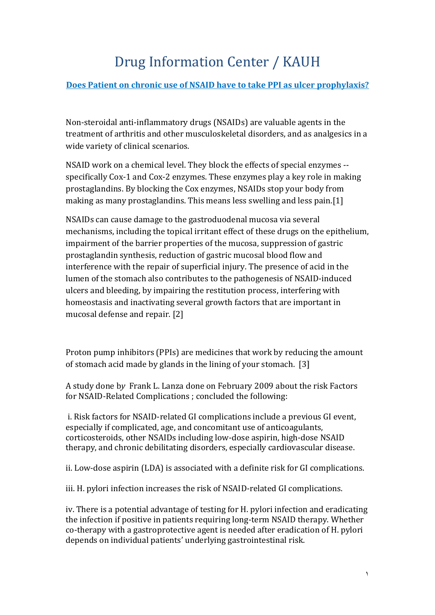## Drug Information Center / KAUH

## **Does Patient on chronic use of NSAID have to take PPI as ulcer prophylaxis?**

Non-steroidal anti-inflammatory drugs (NSAIDs) are valuable agents in the treatment of arthritis and other musculoskeletal disorders, and as analgesics in a wide variety of clinical scenarios.

NSAID work on a chemical level. They block the effects of special enzymes - specifically Cox-1 and Cox-2 enzymes. These enzymes play a key role in making prostaglandins. By blocking the Cox enzymes, NSAIDs stop your body from making as many prostaglandins. This means less swelling and less pain.[1]

NSAIDs can cause damage to the gastroduodenal mucosa via several mechanisms, including the topical irritant effect of these drugs on the epithelium, impairment of the barrier properties of the mucosa, suppression of gastric prostaglandin synthesis, reduction of gastric mucosal blood flow and interference with the repair of superficial injury. The presence of acid in the lumen of the stomach also contributes to the pathogenesis of NSAID-induced ulcers and bleeding, by impairing the restitution process, interfering with homeostasis and inactivating several growth factors that are important in mucosal defense and repair. [2]

Proton pump inhibitors (PPIs) are medicines that work by reducing the amount of stomach acid made by glands in the lining of your stomach. [3]

A study done b*y* Frank L. Lanza done on February 2009 about the risk Factors for NSAID-Related Complications ; concluded the following:

i. Risk factors for NSAID-related GI complications include a previous GI event, especially if complicated, age, and concomitant use of anticoagulants, corticosteroids, other NSAIDs including low-dose aspirin, high-dose NSAID therapy, and chronic debilitating disorders, especially cardiovascular disease.

ii. Low-dose aspirin (LDA) is associated with a definite risk for GI complications.

iii. H. pylori infection increases the risk of NSAID-related GI complications.

iv. There is a potential advantage of testing for H. pylori infection and eradicating the infection if positive in patients requiring long-term NSAID therapy. Whether co-therapy with a gastroprotective agent is needed after eradication of H. pylori depends on individual patients' underlying gastrointestinal risk.

1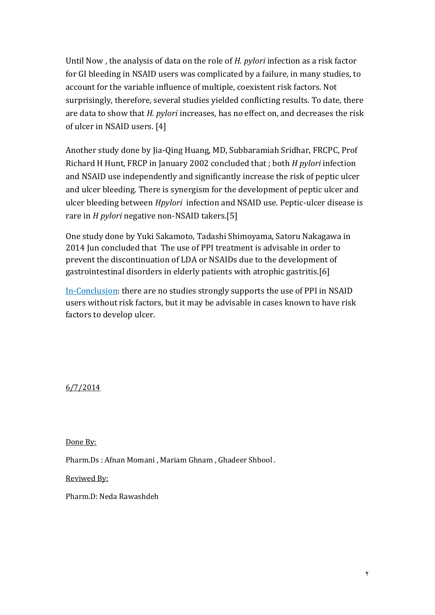Until Now , the analysis of data on the role of *H. pylori* infection as a risk factor for GI bleeding in NSAID users was complicated by a failure, in many studies, to account for the variable influence of multiple, coexistent risk factors. Not surprisingly, therefore, several studies yielded conflicting results. To date, there are data to show that *H. pylori* increases, has no effect on, and decreases the risk of ulcer in NSAID users. [4]

Another study done by [Jia-Qing Huang,](http://www.sciencedirect.com/science/article/pii/S0140673602072732) MD, [Subbaramiah Sridhar,](http://www.sciencedirect.com/science/article/pii/S0140673602072732) FRCPC, Prof [Richard H Hunt,](http://www.sciencedirect.com/science/article/pii/S0140673602072732) FRCP in January 2002 concluded that ; both *H pylori* infection and NSAID use independently and significantly increase the risk of peptic ulcer and ulcer bleeding. There is synergism for the development of peptic ulcer and ulcer bleeding between *Hpylori* infection and NSAID use. Peptic-ulcer disease is rare in *H pylori* negative non-NSAID takers.[5]

One study done by [Yuki Sakamoto,](https://www.jstage.jst.go.jp/AF06S010ShsiKskGmnHyj?chshnmHkwtsh=Yuki+Sakamoto) [Tadashi Shimoyama,](https://www.jstage.jst.go.jp/AF06S010ShsiKskGmnHyj?chshnmHkwtsh=Tadashi+Shimoyama) [Satoru Nakagawa](https://www.jstage.jst.go.jp/AF06S010ShsiKskGmnHyj?chshnmHkwtsh=Satoru+Nakagawa) in 2014 Jun concluded that The use of PPI treatment is advisable in order to prevent the discontinuation of LDA or NSAIDs due to the development of gastrointestinal disorders in elderly patients with atrophic gastritis.[6]

In-Conclusion: there are no studies strongly supports the use of PPI in NSAID users without risk factors, but it may be advisable in cases known to have risk factors to develop ulcer.

6/7/2014

Done By:

Pharm.Ds : Afnan Momani , Mariam Ghnam , Ghadeer Shbool .

Reviwed By:

Pharm.D: Neda Rawashdeh